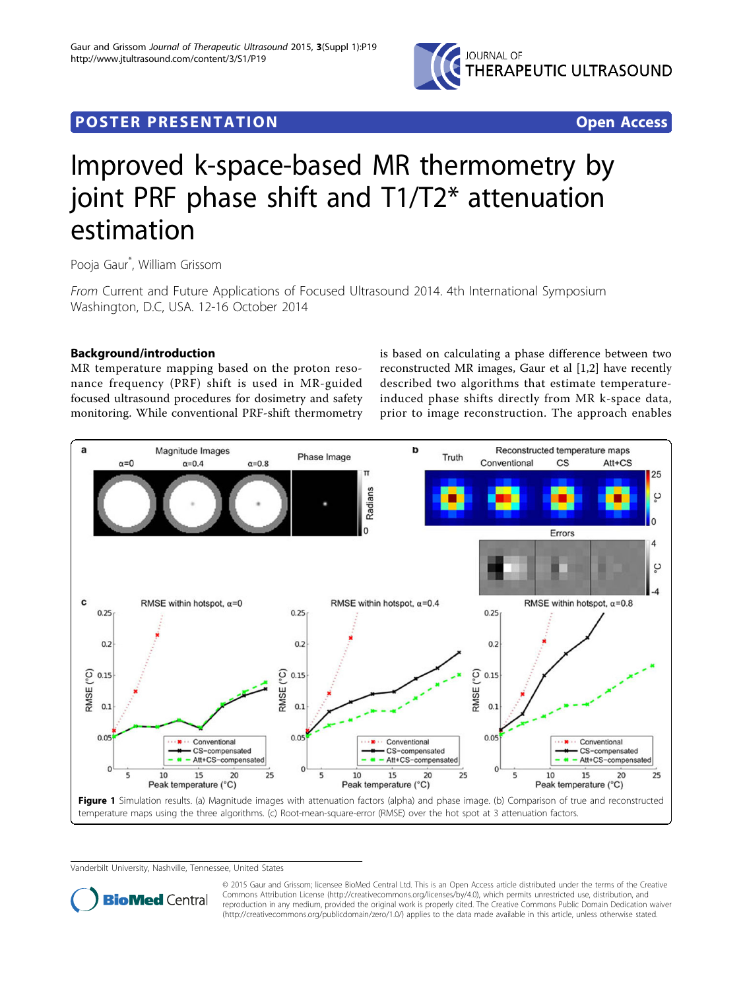

# <span id="page-0-0"></span>**POSTER PRESENTATION CONSUMING ACCESS**



# Improved k-space-based MR thermometry by joint PRF phase shift and T1/T2\* attenuation estimation

Pooja Gaur\* , William Grissom

From Current and Future Applications of Focused Ultrasound 2014. 4th International Symposium Washington, D.C, USA. 12-16 October 2014

# Background/introduction

MR temperature mapping based on the proton resonance frequency (PRF) shift is used in MR-guided focused ultrasound procedures for dosimetry and safety monitoring. While conventional PRF-shift thermometry is based on calculating a phase difference between two reconstructed MR images, Gaur et al [\[1,2](#page-1-0)] have recently described two algorithms that estimate temperatureinduced phase shifts directly from MR k-space data, prior to image reconstruction. The approach enables



Vanderbilt University, Nashville, Tennessee, United States



© 2015 Gaur and Grissom; licensee BioMed Central Ltd. This is an Open Access article distributed under the terms of the Creative Commons Attribution License [\(http://creativecommons.org/licenses/by/4.0](http://creativecommons.org/licenses/by/4.0)), which permits unrestricted use, distribution, and reproduction in any medium, provided the original work is properly cited. The Creative Commons Public Domain Dedication waiver [\(http://creativecommons.org/publicdomain/zero/1.0/](http://creativecommons.org/publicdomain/zero/1.0/)) applies to the data made available in this article, unless otherwise stated.